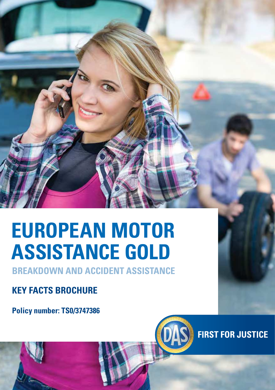# **EUROPEAN MOTOR ASSISTANCE GOLD**

**BREAKDOWN AND ACCIDENT ASSISTANCE**

#### **KEY FACTS BROCHURE**

**Policy number: TS0/3747386**



**FIRST FOR JUSTICE**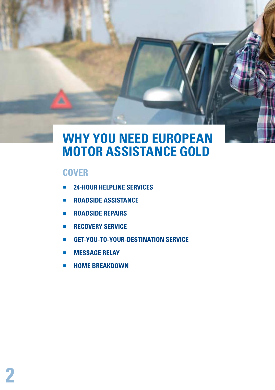### **WHY YOU NEED EUROPEAN MOTOR ASSISTANCE GOLD**

#### **COVER**

- **24-HOUR HELPLINE SERVICES**
- **ROADSIDE ASSISTANCE**
- **ROADSIDE REPAIRS**
- **E** RECOVERY SERVICE
- **GET-YOU-TO-YOUR-DESTINATION SERVICE**
- **E** MESSAGE RELAY
- **E** HOME BREAKDOWN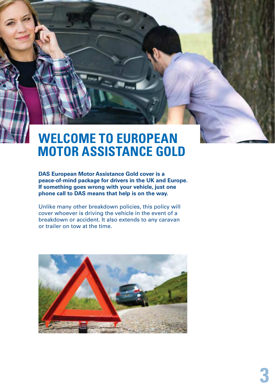## **WELCOME TO EUROPEAN MOTOR ASSISTANCE GOLD**

**DAS European Motor Assistance Gold cover is a peace-of-mind package for drivers in the UK and Europe. If something goes wrong with your vehicle, just one phone call to DAS means that help is on the way.**

Unlike many other breakdown policies, this policy will cover whoever is driving the vehicle in the event of a breakdown or accident. It also extends to any caravan or trailer on tow at the time.

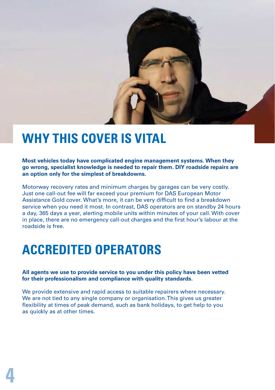

### **WHY THIS COVER IS VITAL**

**Most vehicles today have complicated engine management systems. When they go wrong, specialist knowledge is needed to repair them. DIY roadside repairs are an option only for the simplest of breakdowns.**

Motorway recovery rates and minimum charges by garages can be very costly. Just one call-out fee will far exceed your premium for DAS European Motor Assistance Gold cover. What's more, it can be very difficult to find a breakdown service when you need it most. In contrast, DAS operators are on standby 24 hours a day, 365 days a year, alerting mobile units within minutes of your call. With cover in place, there are no emergency call-out charges and the first hour's labour at the roadside is free.

#### **ACCREDITED OPERATORS**

**All agents we use to provide service to you under this policy have been vetted for their professionalism and compliance with quality standards.**

We provide extensive and rapid access to suitable repairers where necessary. We are not tied to any single company or organisation. This gives us greater flexibility at times of peak demand, such as bank holidays, to get help to you as quickly as at other times.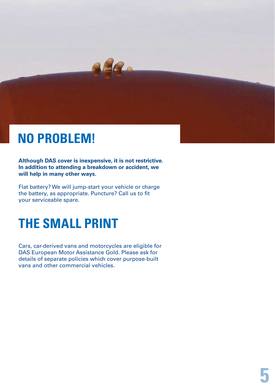# **NO PROBLEM!**

**Although DAS cover is inexpensive, it is not restrictive. In addition to attending a breakdown or accident, we will help in many other ways.**

32.

Flat battery? We will jump-start your vehicle or charge the battery, as appropriate. Puncture? Call us to fit your serviceable spare.

# **THE SMALL PRINT**

Cars, car-derived vans and motorcycles are eligible for DAS European Motor Assistance Gold. Please ask for details of separate policies which cover purpose-built vans and other commercial vehicles.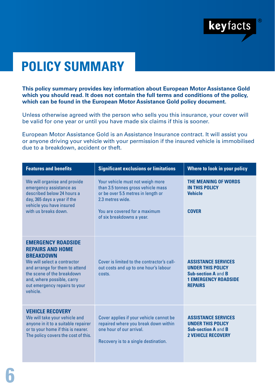

# **POLICY SUMMARY**

**This policy summary provides key information about European Motor Assistance Gold which you should read. It does not contain the full terms and conditions of the policy, which can be found in the European Motor Assistance Gold policy document.**

Unless otherwise agreed with the person who sells you this insurance, your cover will be valid for one year or until you have made six claims if this is sooner.

European Motor Assistance Gold is an Assistance Insurance contract. It will assist you or anyone driving your vehicle with your permission if the insured vehicle is immobilised due to a breakdown, accident or theft.

| <b>Features and benefits</b>                                                                                                                                                                                                                      | <b>Significant exclusions or limitations</b>                                                                                                                                                  | Where to look in your policy                                                                                                          |
|---------------------------------------------------------------------------------------------------------------------------------------------------------------------------------------------------------------------------------------------------|-----------------------------------------------------------------------------------------------------------------------------------------------------------------------------------------------|---------------------------------------------------------------------------------------------------------------------------------------|
| We will organise and provide<br>emergency assistance as<br>described below 24 hours a<br>day, 365 days a year if the<br>vehicle you have insured<br>with us breaks down.                                                                          | Your vehicle must not weigh more<br>than 3.5 tonnes gross vehicle mass<br>or be over 5.5 metres in length or<br>2.3 metres wide<br>You are covered for a maximum<br>of six breakdowns a year. | THE MEANING OF WORDS<br><b>IN THIS POLICY</b><br><b>Vehicle</b><br><b>COVER</b>                                                       |
| <b>EMERGENCY ROADSIDE</b><br><b>REPAIRS AND HOME</b><br><b>RRFAKDOWN</b><br>We will select a contractor<br>and arrange for them to attend<br>the scene of the breakdown<br>and, where possible, carry<br>out emergency repairs to your<br>vehicle | Cover is limited to the contractor's call-<br>out costs and up to one hour's labour<br>costs.                                                                                                 | <b>ASSISTANCE SERVICES</b><br><b>UNDER THIS POLICY</b><br><b>Sub-section A and B</b><br><b>1 EMERGENCY ROADSIDE</b><br><b>REPAIRS</b> |
| <b>VEHICLE RECOVERY</b><br>We will take your vehicle and<br>anyone in it to a suitable repairer<br>or to your home if this is nearer.<br>The policy covers the cost of this.                                                                      | Cover applies if your vehicle cannot be<br>repaired where you break down within<br>one hour of our arrival<br>Recovery is to a single destination.                                            | <b>ASSISTANCE SERVICES</b><br><b>UNDER THIS POLICY</b><br><b>Sub-section A and B</b><br><b>2 VEHICLE RECOVERY</b>                     |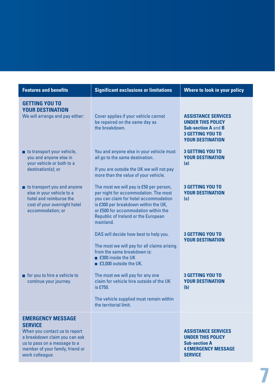| <b>Features and benefits</b>                                                                                                                                                                        | <b>Significant exclusions or limitations</b>                                                                                                                                                                                                                 | Where to look in your policy                                                                                                               |
|-----------------------------------------------------------------------------------------------------------------------------------------------------------------------------------------------------|--------------------------------------------------------------------------------------------------------------------------------------------------------------------------------------------------------------------------------------------------------------|--------------------------------------------------------------------------------------------------------------------------------------------|
| <b>GETTING YOU TO</b><br><b>YOUR DESTINATION</b><br>We will arrange and pay either:                                                                                                                 | Cover applies if your vehicle cannot<br>be repaired on the same day as<br>the breakdown.                                                                                                                                                                     | <b>ASSISTANCE SERVICES</b><br><b>UNDER THIS POLICY</b><br><b>Sub-section A and B</b><br><b>3 GETTING YOU TO</b><br><b>YOUR DESTINATION</b> |
| to transport your vehicle,<br>you and anyone else in<br>your vehicle or both to a<br>destination(s); or                                                                                             | You and anyone else in your vehicle must<br>all go to the same destination.<br>If you are outside the UK we will not pay<br>more than the value of your vehicle.                                                                                             | <b>3 GETTING YOU TO</b><br><b>YOUR DESTINATION</b><br>(a)                                                                                  |
| to transport you and anyone<br>else in your vehicle to a<br>hotel and reimburse the<br>cost of your overnight hotel<br>accommodation; or                                                            | The most we will pay is £50 per person,<br>per night for accommodation. The most<br>you can claim for hotel accommodation<br>is £300 per breakdown within the UK,<br>or £500 for accommodation within the<br>Republic of Ireland or the European<br>mainland | <b>3 GETTING YOU TO</b><br><b>YOUR DESTINATION</b><br>(c)                                                                                  |
|                                                                                                                                                                                                     | DAS will decide how best to help you.<br>The most we will pay for all claims arising<br>from the same breakdown is:<br>■ £300 inside the UK<br>■ £3,000 outside the UK.                                                                                      | <b>3 GETTING YOU TO</b><br><b>YOUR DESTINATION</b>                                                                                         |
| for you to hire a vehicle to<br>continue your journey.                                                                                                                                              | The most we will pay for any one<br>claim for vehicle hire outside of the UK<br>is £750.<br>The vehicle supplied must remain within<br>the territorial limit.                                                                                                | <b>3 GETTING YOU TO</b><br><b>YOUR DESTINATION</b><br>(b)                                                                                  |
| <b>EMERGENCY MESSAGE</b><br><b>SERVICE</b><br>When you contact us to report<br>a breakdown claim you can ask<br>us to pass on a message to a<br>member of your family, friend or<br>work colleague. |                                                                                                                                                                                                                                                              | <b>ASSISTANCE SERVICES</b><br><b>UNDER THIS POLICY</b><br><b>Sub-section A</b><br><b>4 EMERGENCY MESSAGE</b><br><b>SERVICE</b>             |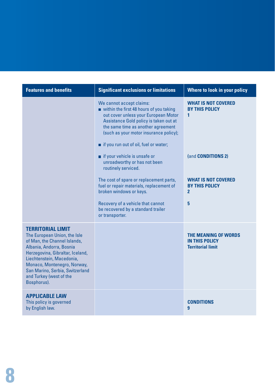| <b>Features and benefits</b>                                                                                                                                                                                                                                                                      | <b>Significant exclusions or limitations</b>                                                                                                                                                                                                                                                                                                                                                                                                                                                                                                                                          | Where to look in your policy                                                                                                                                 |
|---------------------------------------------------------------------------------------------------------------------------------------------------------------------------------------------------------------------------------------------------------------------------------------------------|---------------------------------------------------------------------------------------------------------------------------------------------------------------------------------------------------------------------------------------------------------------------------------------------------------------------------------------------------------------------------------------------------------------------------------------------------------------------------------------------------------------------------------------------------------------------------------------|--------------------------------------------------------------------------------------------------------------------------------------------------------------|
|                                                                                                                                                                                                                                                                                                   | We cannot accept claims:<br>within the first 48 hours of you taking<br>out cover unless your European Motor<br>Assistance Gold policy is taken out at<br>the same time as another agreement<br>(such as your motor insurance policy);<br>if you run out of oil, fuel or water;<br>if your vehicle is unsafe or<br>unroadworthy or has not been<br>routinely serviced.<br>The cost of spare or replacement parts,<br>fuel or repair materials, replacement of<br>broken windows or keys.<br>Recovery of a vehicle that cannot<br>be recovered by a standard trailer<br>or transporter. | <b>WHAT IS NOT COVERED</b><br><b>BY THIS POLICY</b><br>1<br>(and CONDITIONS 2)<br><b>WHAT IS NOT COVERED</b><br><b>BY THIS POLICY</b><br>$\overline{2}$<br>5 |
| <b>TERRITORIAL LIMIT</b><br>The European Union, the Isle<br>of Man, the Channel Islands,<br>Albania, Andorra, Bosnia<br>Herzegovina, Gibraltar, Iceland,<br>Liechtenstein, Macedonia,<br>Monaco, Montenegro, Norway,<br>San Marino, Serbia, Switzerland<br>and Turkey (west of the<br>Bosphorus). |                                                                                                                                                                                                                                                                                                                                                                                                                                                                                                                                                                                       | THE MEANING OF WORDS<br><b>IN THIS POLICY</b><br><b>Territorial limit</b>                                                                                    |
| <b>APPLICABLE LAW</b><br>This policy is governed<br>by English law.                                                                                                                                                                                                                               |                                                                                                                                                                                                                                                                                                                                                                                                                                                                                                                                                                                       | <b>CONDITIONS</b><br>$\overline{9}$                                                                                                                          |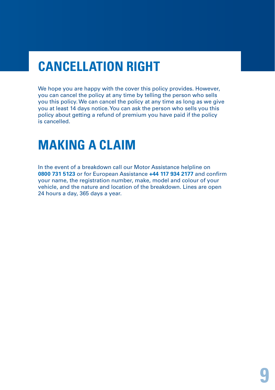# **CANCELLATION RIGHT**

We hope you are happy with the cover this policy provides. However, you can cancel the policy at any time by telling the person who sells you this policy. We can cancel the policy at any time as long as we give you at least 14 days notice. You can ask the person who sells you this policy about getting a refund of premium you have paid if the policy is cancelled.

#### **MAKING A CLAIM**

In the event of a breakdown call our Motor Assistance helpline on **0800 731 5123** or for European Assistance **+44 117 934 2177** and confirm your name, the registration number, make, model and colour of your vehicle, and the nature and location of the breakdown. Lines are open 24 hours a day, 365 days a year.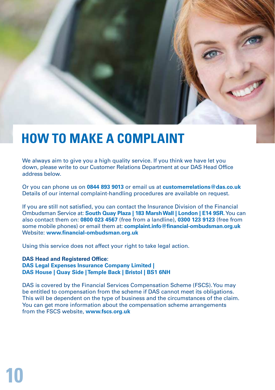# **HOW TO MAKE A COMPLAINT**

We always aim to give you a high quality service. If you think we have let you down, please write to our Customer Relations Department at our DAS Head Office address below.

Or you can phone us on **0844 893 9013** or email us at **customerrelations@das.co.uk** Details of our internal complaint-handling procedures are available on request.

If you are still not satisfied, you can contact the Insurance Division of the Financial Ombudsman Service at: **South Quay Plaza | 183 Marsh Wall | London | E14 9SR.** You can also contact them on: **0800 023 4567** (free from a landline), **0300 123 9123** (free from some mobile phones) or email them at: **complaint.info@financial-ombudsman.org.uk** Website: **www.financial-ombudsman.org.uk**

Using this service does not affect your right to take legal action.

**DAS Head and Registered Office: DAS Legal Expenses Insurance Company Limited | DAS House | Quay Side | Temple Back | Bristol | BS1 6NH** 

**10**

DAS is covered by the Financial Services Compensation Scheme (FSCS). You may be entitled to compensation from the scheme if DAS cannot meet its obligations. This will be dependent on the type of business and the circumstances of the claim. You can get more information about the compensation scheme arrangements from the FSCS website, **www.fscs.org.uk**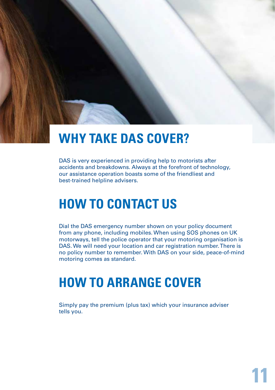# **WHY TAKE DAS COVER?**

DAS is very experienced in providing help to motorists after accidents and breakdowns. Always at the forefront of technology, our assistance operation boasts some of the friendliest and best-trained helpline advisers.

## **HOW TO CONTACT US**

Dial the DAS emergency number shown on your policy document from any phone, including mobiles. When using SOS phones on UK motorways, tell the police operator that your motoring organisation is DAS. We will need your location and car registration number. There is no policy number to remember. With DAS on your side, peace-of-mind motoring comes as standard.

#### **HOW TO ARRANGE COVER**

Simply pay the premium (plus tax) which your insurance adviser tells you.